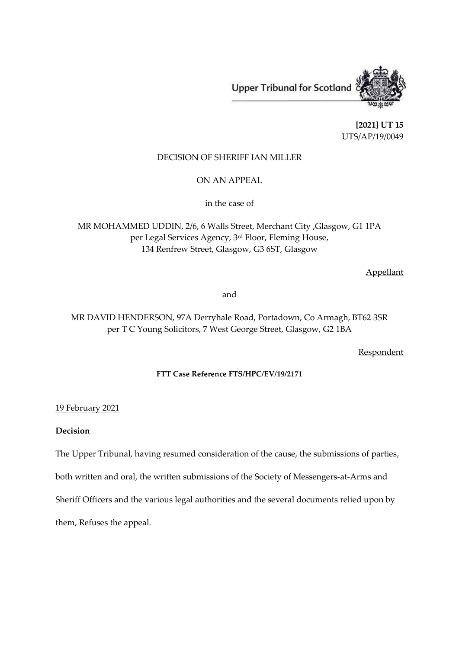Upper Tribunal for Scotland

**[2021] UT 15** UTS/AP/19/0049

# DECISION OF SHERIFF IAN MILLER

ON AN APPEAL

in the case of

MR MOHAMMED UDDIN, 2/6, 6 Walls Street, Merchant City ,Glasgow, G1 1PA per Legal Services Agency, 3 rd Floor, Fleming House, 134 Renfrew Street, Glasgow, G3 6ST, Glasgow

Appellant

and

MR DAVID HENDERSON, 97A Derryhale Road, Portadown, Co Armagh, BT62 3SR per T C Young Solicitors, 7 West George Street, Glasgow, G2 1BA

**Respondent** 

### **FTT Case Reference FTS/HPC/EV/19/2171**

# 19 February 2021

### **Decision**

The Upper Tribunal, having resumed consideration of the cause, the submissions of parties,

both written and oral, the written submissions of the Society of Messengers-at-Arms and

Sheriff Officers and the various legal authorities and the several documents relied upon by

them, Refuses the appeal.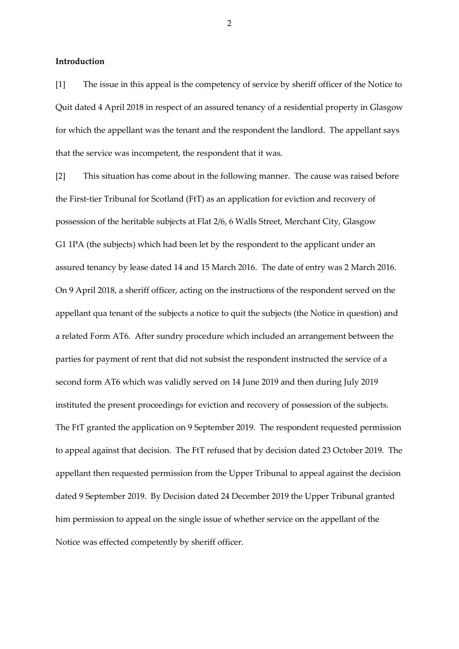**Introduction**

[1] The issue in this appeal is the competency of service by sheriff officer of the Notice to Quit dated 4 April 2018 in respect of an assured tenancy of a residential property in Glasgow for which the appellant was the tenant and the respondent the landlord. The appellant says that the service was incompetent, the respondent that it was.

[2] This situation has come about in the following manner. The cause was raised before the First-tier Tribunal for Scotland (FtT) as an application for eviction and recovery of possession of the heritable subjects at Flat 2/6, 6 Walls Street, Merchant City, Glasgow G1 1PA (the subjects) which had been let by the respondent to the applicant under an assured tenancy by lease dated 14 and 15 March 2016. The date of entry was 2 March 2016. On 9 April 2018, a sheriff officer, acting on the instructions of the respondent served on the appellant qua tenant of the subjects a notice to quit the subjects (the Notice in question) and a related Form AT6. After sundry procedure which included an arrangement between the parties for payment of rent that did not subsist the respondent instructed the service of a second form AT6 which was validly served on 14 June 2019 and then during July 2019 instituted the present proceedings for eviction and recovery of possession of the subjects. The FtT granted the application on 9 September 2019. The respondent requested permission to appeal against that decision. The FtT refused that by decision dated 23 October 2019. The appellant then requested permission from the Upper Tribunal to appeal against the decision dated 9 September 2019. By Decision dated 24 December 2019 the Upper Tribunal granted him permission to appeal on the single issue of whether service on the appellant of the Notice was effected competently by sheriff officer.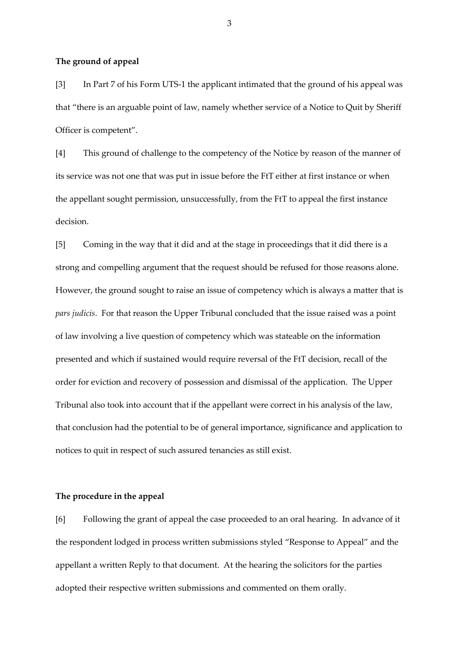#### **The ground of appeal**

[3] In Part 7 of his Form UTS-1 the applicant intimated that the ground of his appeal was that "there is an arguable point of law, namely whether service of a Notice to Quit by Sheriff Officer is competent".

[4] This ground of challenge to the competency of the Notice by reason of the manner of its service was not one that was put in issue before the FtT either at first instance or when the appellant sought permission, unsuccessfully, from the FtT to appeal the first instance decision.

[5] Coming in the way that it did and at the stage in proceedings that it did there is a strong and compelling argument that the request should be refused for those reasons alone. However, the ground sought to raise an issue of competency which is always a matter that is *pars judicis*. For that reason the Upper Tribunal concluded that the issue raised was a point of law involving a live question of competency which was stateable on the information presented and which if sustained would require reversal of the FtT decision, recall of the order for eviction and recovery of possession and dismissal of the application. The Upper Tribunal also took into account that if the appellant were correct in his analysis of the law, that conclusion had the potential to be of general importance, significance and application to notices to quit in respect of such assured tenancies as still exist.

### **The procedure in the appeal**

[6] Following the grant of appeal the case proceeded to an oral hearing. In advance of it the respondent lodged in process written submissions styled "Response to Appeal" and the appellant a written Reply to that document. At the hearing the solicitors for the parties adopted their respective written submissions and commented on them orally.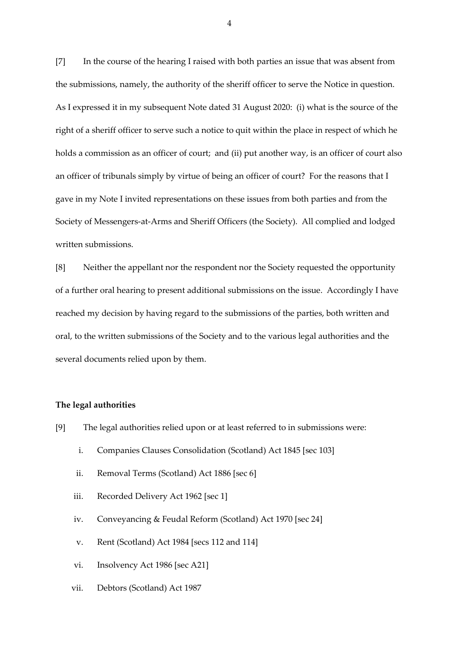[7] In the course of the hearing I raised with both parties an issue that was absent from the submissions, namely, the authority of the sheriff officer to serve the Notice in question. As I expressed it in my subsequent Note dated 31 August 2020: (i) what is the source of the right of a sheriff officer to serve such a notice to quit within the place in respect of which he holds a commission as an officer of court; and (ii) put another way, is an officer of court also an officer of tribunals simply by virtue of being an officer of court? For the reasons that I gave in my Note I invited representations on these issues from both parties and from the Society of Messengers-at-Arms and Sheriff Officers (the Society). All complied and lodged written submissions.

[8] Neither the appellant nor the respondent nor the Society requested the opportunity of a further oral hearing to present additional submissions on the issue. Accordingly I have reached my decision by having regard to the submissions of the parties, both written and oral, to the written submissions of the Society and to the various legal authorities and the several documents relied upon by them.

#### **The legal authorities**

- [9] The legal authorities relied upon or at least referred to in submissions were:
	- i. Companies Clauses Consolidation (Scotland) Act 1845 [sec 103]
	- ii. Removal Terms (Scotland) Act 1886 [sec 6]
	- iii. Recorded Delivery Act 1962 [sec 1]
	- iv. Conveyancing & Feudal Reform (Scotland) Act 1970 [sec 24]
	- v. Rent (Scotland) Act 1984 [secs 112 and 114]
	- vi. Insolvency Act 1986 [sec A21]
	- vii. Debtors (Scotland) Act 1987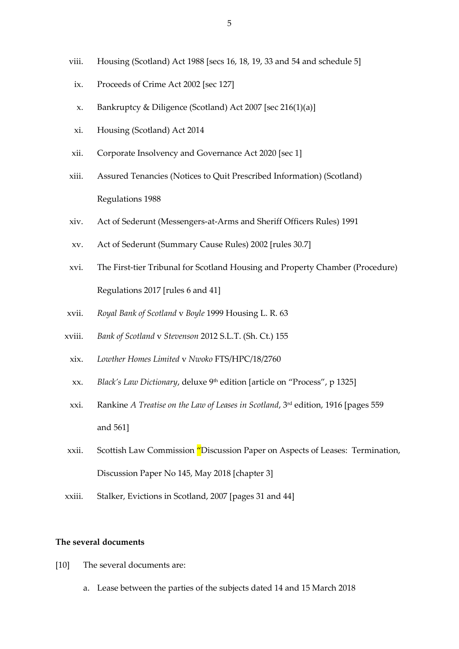- viii. Housing (Scotland) Act 1988 [secs 16, 18, 19, 33 and 54 and schedule 5]
- ix. Proceeds of Crime Act 2002 [sec 127]
- x. Bankruptcy & Diligence (Scotland) Act 2007 [sec 216(1)(a)]
- xi. Housing (Scotland) Act 2014
- xii. Corporate Insolvency and Governance Act 2020 [sec 1]
- xiii. Assured Tenancies (Notices to Quit Prescribed Information) (Scotland) Regulations 1988
- xiv. Act of Sederunt (Messengers-at-Arms and Sheriff Officers Rules) 1991
- xv. Act of Sederunt (Summary Cause Rules) 2002 [rules 30.7]
- xvi. The First-tier Tribunal for Scotland Housing and Property Chamber (Procedure) Regulations 2017 [rules 6 and 41]
- xvii. *Royal Bank of Scotland* v *Boyle* 1999 Housing L. R. 63
- xviii. *Bank of Scotland* v *Stevenson* 2012 S.L.T. (Sh. Ct.) 155
	- xix. *Lowther Homes Limited* v *Nwoko* FTS/HPC/18/2760
	- xx. *Black's Law Dictionary*, deluxe 9<sup>th</sup> edition [article on "Process", p 1325]
	- xxi. Rankine *A Treatise on the Law of Leases in Scotland*, 3rd edition, 1916 [pages 559 and 561]
- xxii. Scottish Law Commission "Discussion Paper on Aspects of Leases: Termination, Discussion Paper No 145, May 2018 [chapter 3]
- xxiii. Stalker, Evictions in Scotland, 2007 [pages 31 and 44]

# **The several documents**

- [10] The several documents are:
	- a. Lease between the parties of the subjects dated 14 and 15 March 2018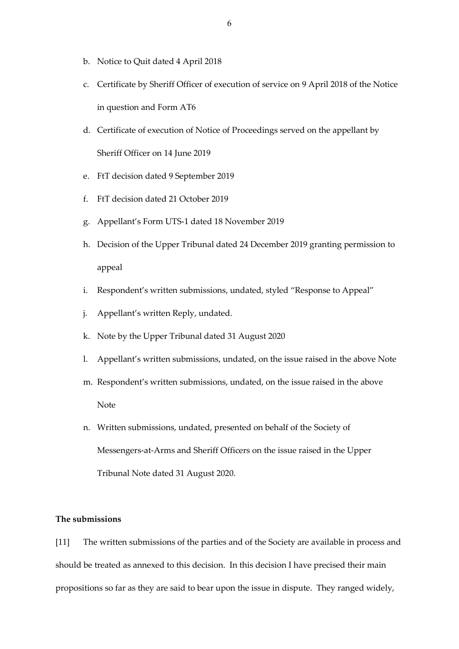- b. Notice to Quit dated 4 April 2018
- c. Certificate by Sheriff Officer of execution of service on 9 April 2018 of the Notice in question and Form AT6
- d. Certificate of execution of Notice of Proceedings served on the appellant by Sheriff Officer on 14 June 2019
- e. FtT decision dated 9 September 2019
- f. FtT decision dated 21 October 2019
- g. Appellant's Form UTS-1 dated 18 November 2019
- h. Decision of the Upper Tribunal dated 24 December 2019 granting permission to appeal
- i. Respondent's written submissions, undated, styled "Response to Appeal"
- j. Appellant's written Reply, undated.
- k. Note by the Upper Tribunal dated 31 August 2020
- l. Appellant's written submissions, undated, on the issue raised in the above Note
- m. Respondent's written submissions, undated, on the issue raised in the above Note
- n. Written submissions, undated, presented on behalf of the Society of Messengers-at-Arms and Sheriff Officers on the issue raised in the Upper Tribunal Note dated 31 August 2020.

# **The submissions**

[11] The written submissions of the parties and of the Society are available in process and should be treated as annexed to this decision. In this decision I have precised their main propositions so far as they are said to bear upon the issue in dispute. They ranged widely,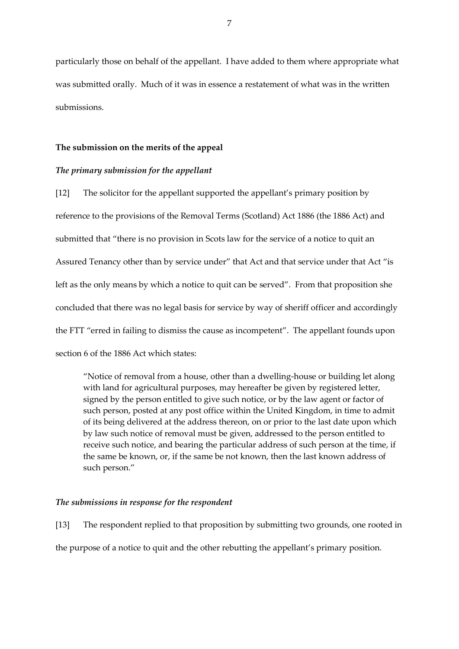particularly those on behalf of the appellant. I have added to them where appropriate what was submitted orally. Much of it was in essence a restatement of what was in the written submissions.

### **The submission on the merits of the appeal**

#### *The primary submission for the appellant*

[12] The solicitor for the appellant supported the appellant's primary position by reference to the provisions of the Removal Terms (Scotland) Act 1886 (the 1886 Act) and submitted that "there is no provision in Scots law for the service of a notice to quit an Assured Tenancy other than by service under" that Act and that service under that Act "is left as the only means by which a notice to quit can be served". From that proposition she concluded that there was no legal basis for service by way of sheriff officer and accordingly the FTT "erred in failing to dismiss the cause as incompetent". The appellant founds upon section 6 of the 1886 Act which states:

"Notice of removal from a house, other than a dwelling-house or building let along with land for agricultural purposes, may hereafter be given by registered letter, signed by the person entitled to give such notice, or by the law agent or factor of such person, posted at any post office within the United Kingdom, in time to admit of its being delivered at the address thereon, on or prior to the last date upon which by law such notice of removal must be given, addressed to the person entitled to receive such notice, and bearing the particular address of such person at the time, if the same be known, or, if the same be not known, then the last known address of such person."

#### *The submissions in response for the respondent*

[13] The respondent replied to that proposition by submitting two grounds, one rooted in the purpose of a notice to quit and the other rebutting the appellant's primary position.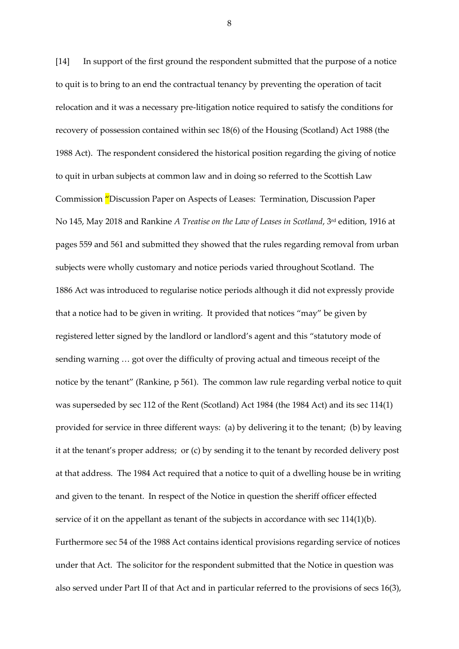[14] In support of the first ground the respondent submitted that the purpose of a notice to quit is to bring to an end the contractual tenancy by preventing the operation of tacit relocation and it was a necessary pre-litigation notice required to satisfy the conditions for recovery of possession contained within sec 18(6) of the Housing (Scotland) Act 1988 (the 1988 Act). The respondent considered the historical position regarding the giving of notice to quit in urban subjects at common law and in doing so referred to the Scottish Law Commission "Discussion Paper on Aspects of Leases: Termination, Discussion Paper No 145, May 2018 and Rankine *A Treatise on the Law of Leases in Scotland*, 3rd edition, 1916 at pages 559 and 561 and submitted they showed that the rules regarding removal from urban subjects were wholly customary and notice periods varied throughout Scotland. The 1886 Act was introduced to regularise notice periods although it did not expressly provide that a notice had to be given in writing. It provided that notices "may" be given by registered letter signed by the landlord or landlord's agent and this "statutory mode of sending warning … got over the difficulty of proving actual and timeous receipt of the notice by the tenant" (Rankine, p 561). The common law rule regarding verbal notice to quit was superseded by sec 112 of the Rent (Scotland) Act 1984 (the 1984 Act) and its sec 114(1) provided for service in three different ways: (a) by delivering it to the tenant; (b) by leaving it at the tenant's proper address; or (c) by sending it to the tenant by recorded delivery post at that address. The 1984 Act required that a notice to quit of a dwelling house be in writing and given to the tenant. In respect of the Notice in question the sheriff officer effected service of it on the appellant as tenant of the subjects in accordance with sec 114(1)(b). Furthermore sec 54 of the 1988 Act contains identical provisions regarding service of notices under that Act. The solicitor for the respondent submitted that the Notice in question was also served under Part II of that Act and in particular referred to the provisions of secs 16(3),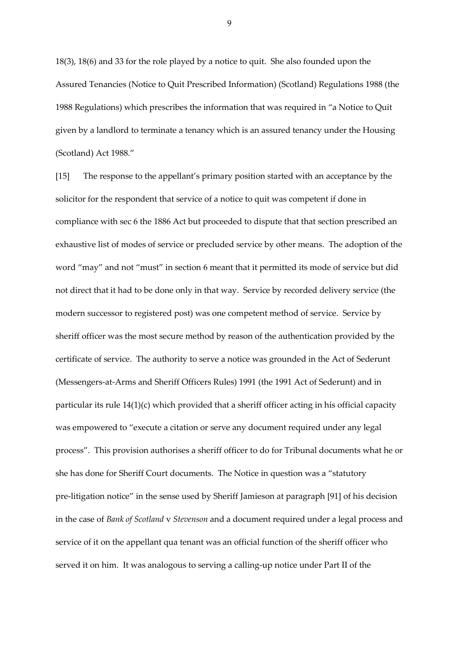18(3), 18(6) and 33 for the role played by a notice to quit. She also founded upon the Assured Tenancies (Notice to Quit Prescribed Information) (Scotland) Regulations 1988 (the 1988 Regulations) which prescribes the information that was required in "a Notice to Quit given by a landlord to terminate a tenancy which is an assured tenancy under the Housing (Scotland) Act 1988."

[15] The response to the appellant's primary position started with an acceptance by the solicitor for the respondent that service of a notice to quit was competent if done in compliance with sec 6 the 1886 Act but proceeded to dispute that that section prescribed an exhaustive list of modes of service or precluded service by other means. The adoption of the word "may" and not "must" in section 6 meant that it permitted its mode of service but did not direct that it had to be done only in that way. Service by recorded delivery service (the modern successor to registered post) was one competent method of service. Service by sheriff officer was the most secure method by reason of the authentication provided by the certificate of service. The authority to serve a notice was grounded in the Act of Sederunt (Messengers-at-Arms and Sheriff Officers Rules) 1991 (the 1991 Act of Sederunt) and in particular its rule 14(1)(c) which provided that a sheriff officer acting in his official capacity was empowered to "execute a citation or serve any document required under any legal process". This provision authorises a sheriff officer to do for Tribunal documents what he or she has done for Sheriff Court documents. The Notice in question was a "statutory pre-litigation notice" in the sense used by Sheriff Jamieson at paragraph [91] of his decision in the case of *Bank of Scotland* v *Stevenson* and a document required under a legal process and service of it on the appellant qua tenant was an official function of the sheriff officer who served it on him. It was analogous to serving a calling-up notice under Part II of the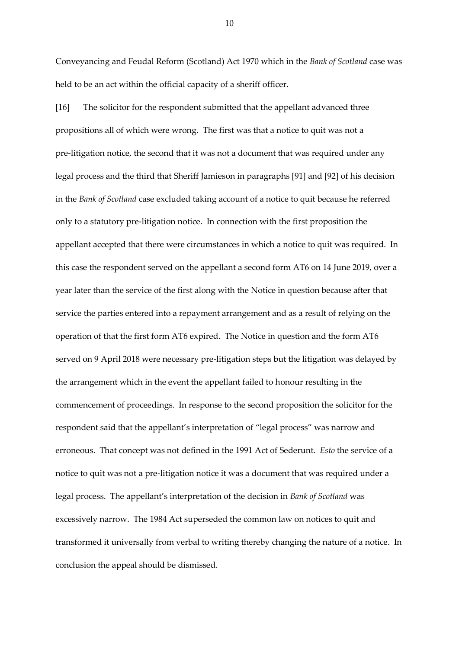Conveyancing and Feudal Reform (Scotland) Act 1970 which in the *Bank of Scotland* case was held to be an act within the official capacity of a sheriff officer.

[16] The solicitor for the respondent submitted that the appellant advanced three propositions all of which were wrong. The first was that a notice to quit was not a pre-litigation notice, the second that it was not a document that was required under any legal process and the third that Sheriff Jamieson in paragraphs [91] and [92] of his decision in the *Bank of Scotland* case excluded taking account of a notice to quit because he referred only to a statutory pre-litigation notice. In connection with the first proposition the appellant accepted that there were circumstances in which a notice to quit was required. In this case the respondent served on the appellant a second form AT6 on 14 June 2019, over a year later than the service of the first along with the Notice in question because after that service the parties entered into a repayment arrangement and as a result of relying on the operation of that the first form AT6 expired. The Notice in question and the form AT6 served on 9 April 2018 were necessary pre-litigation steps but the litigation was delayed by the arrangement which in the event the appellant failed to honour resulting in the commencement of proceedings. In response to the second proposition the solicitor for the respondent said that the appellant's interpretation of "legal process" was narrow and erroneous. That concept was not defined in the 1991 Act of Sederunt. *Esto* the service of a notice to quit was not a pre-litigation notice it was a document that was required under a legal process. The appellant's interpretation of the decision in *Bank of Scotland* was excessively narrow. The 1984 Act superseded the common law on notices to quit and transformed it universally from verbal to writing thereby changing the nature of a notice. In conclusion the appeal should be dismissed.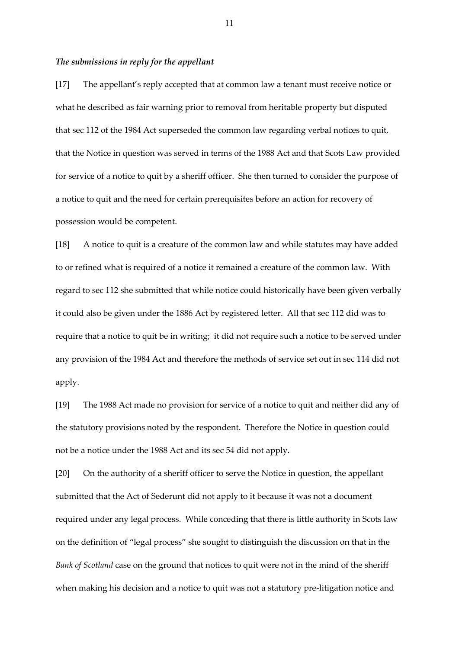### *The submissions in reply for the appellant*

[17] The appellant's reply accepted that at common law a tenant must receive notice or what he described as fair warning prior to removal from heritable property but disputed that sec 112 of the 1984 Act superseded the common law regarding verbal notices to quit, that the Notice in question was served in terms of the 1988 Act and that Scots Law provided for service of a notice to quit by a sheriff officer. She then turned to consider the purpose of a notice to quit and the need for certain prerequisites before an action for recovery of possession would be competent.

[18] A notice to quit is a creature of the common law and while statutes may have added to or refined what is required of a notice it remained a creature of the common law. With regard to sec 112 she submitted that while notice could historically have been given verbally it could also be given under the 1886 Act by registered letter. All that sec 112 did was to require that a notice to quit be in writing; it did not require such a notice to be served under any provision of the 1984 Act and therefore the methods of service set out in sec 114 did not apply.

[19] The 1988 Act made no provision for service of a notice to quit and neither did any of the statutory provisions noted by the respondent. Therefore the Notice in question could not be a notice under the 1988 Act and its sec 54 did not apply.

[20] On the authority of a sheriff officer to serve the Notice in question, the appellant submitted that the Act of Sederunt did not apply to it because it was not a document required under any legal process. While conceding that there is little authority in Scots law on the definition of "legal process" she sought to distinguish the discussion on that in the *Bank of Scotland* case on the ground that notices to quit were not in the mind of the sheriff when making his decision and a notice to quit was not a statutory pre-litigation notice and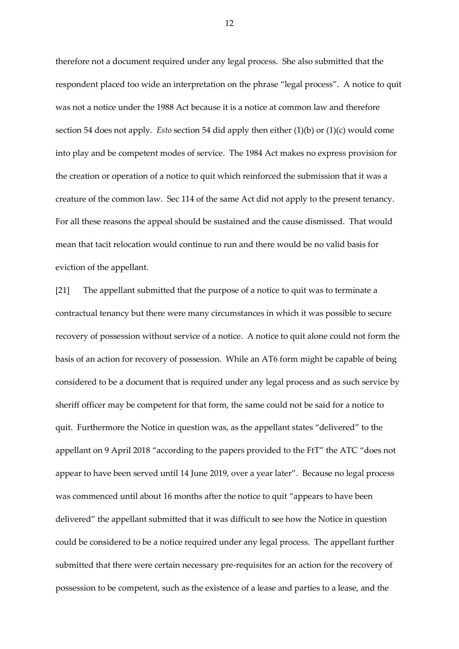therefore not a document required under any legal process. She also submitted that the respondent placed too wide an interpretation on the phrase "legal process". A notice to quit was not a notice under the 1988 Act because it is a notice at common law and therefore section 54 does not apply. *Esto* section 54 did apply then either (1)(b) or (1)(c) would come into play and be competent modes of service. The 1984 Act makes no express provision for the creation or operation of a notice to quit which reinforced the submission that it was a creature of the common law. Sec 114 of the same Act did not apply to the present tenancy. For all these reasons the appeal should be sustained and the cause dismissed. That would mean that tacit relocation would continue to run and there would be no valid basis for eviction of the appellant.

[21] The appellant submitted that the purpose of a notice to quit was to terminate a contractual tenancy but there were many circumstances in which it was possible to secure recovery of possession without service of a notice. A notice to quit alone could not form the basis of an action for recovery of possession. While an AT6 form might be capable of being considered to be a document that is required under any legal process and as such service by sheriff officer may be competent for that form, the same could not be said for a notice to quit. Furthermore the Notice in question was, as the appellant states "delivered" to the appellant on 9 April 2018 "according to the papers provided to the FtT" the ATC "does not appear to have been served until 14 June 2019, over a year later". Because no legal process was commenced until about 16 months after the notice to quit "appears to have been delivered" the appellant submitted that it was difficult to see how the Notice in question could be considered to be a notice required under any legal process. The appellant further submitted that there were certain necessary pre-requisites for an action for the recovery of possession to be competent, such as the existence of a lease and parties to a lease, and the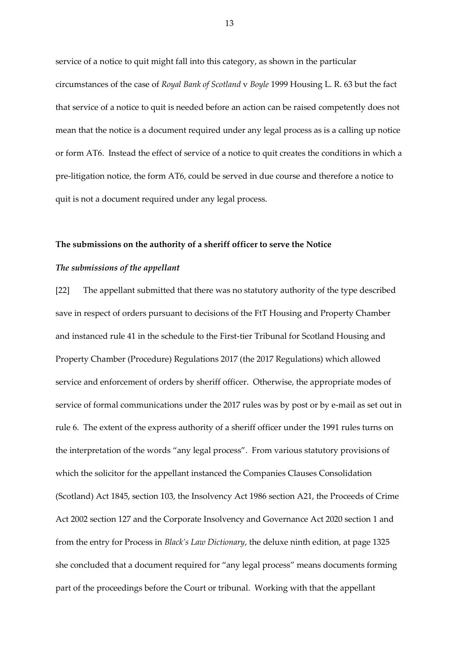service of a notice to quit might fall into this category, as shown in the particular circumstances of the case of *Royal Bank of Scotland* v *Boyle* 1999 Housing L. R. 63 but the fact that service of a notice to quit is needed before an action can be raised competently does not mean that the notice is a document required under any legal process as is a calling up notice or form AT6. Instead the effect of service of a notice to quit creates the conditions in which a pre-litigation notice, the form AT6, could be served in due course and therefore a notice to quit is not a document required under any legal process.

#### **The submissions on the authority of a sheriff officer to serve the Notice**

#### *The submissions of the appellant*

[22] The appellant submitted that there was no statutory authority of the type described save in respect of orders pursuant to decisions of the FtT Housing and Property Chamber and instanced rule 41 in the schedule to the First-tier Tribunal for Scotland Housing and Property Chamber (Procedure) Regulations 2017 (the 2017 Regulations) which allowed service and enforcement of orders by sheriff officer. Otherwise, the appropriate modes of service of formal communications under the 2017 rules was by post or by e-mail as set out in rule 6. The extent of the express authority of a sheriff officer under the 1991 rules turns on the interpretation of the words "any legal process". From various statutory provisions of which the solicitor for the appellant instanced the Companies Clauses Consolidation (Scotland) Act 1845, section 103, the Insolvency Act 1986 section A21, the Proceeds of Crime Act 2002 section 127 and the Corporate Insolvency and Governance Act 2020 section 1 and from the entry for Process in *Black's Law Dictionary*, the deluxe ninth edition, at page 1325 she concluded that a document required for "any legal process" means documents forming part of the proceedings before the Court or tribunal. Working with that the appellant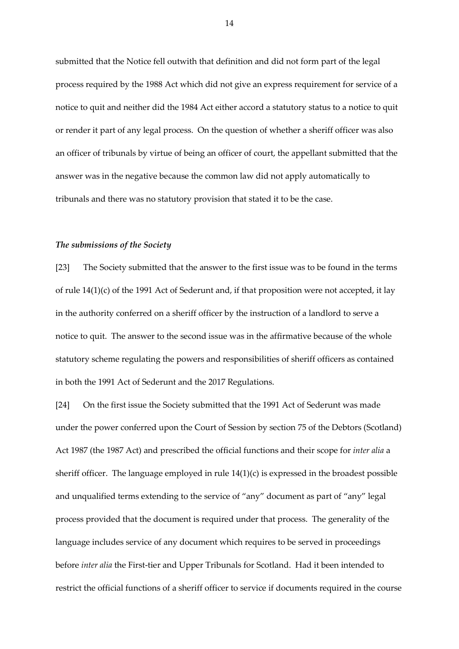submitted that the Notice fell outwith that definition and did not form part of the legal process required by the 1988 Act which did not give an express requirement for service of a notice to quit and neither did the 1984 Act either accord a statutory status to a notice to quit or render it part of any legal process. On the question of whether a sheriff officer was also an officer of tribunals by virtue of being an officer of court, the appellant submitted that the answer was in the negative because the common law did not apply automatically to tribunals and there was no statutory provision that stated it to be the case.

## *The submissions of the Society*

[23] The Society submitted that the answer to the first issue was to be found in the terms of rule 14(1)(c) of the 1991 Act of Sederunt and, if that proposition were not accepted, it lay in the authority conferred on a sheriff officer by the instruction of a landlord to serve a notice to quit. The answer to the second issue was in the affirmative because of the whole statutory scheme regulating the powers and responsibilities of sheriff officers as contained in both the 1991 Act of Sederunt and the 2017 Regulations.

[24] On the first issue the Society submitted that the 1991 Act of Sederunt was made under the power conferred upon the Court of Session by section 75 of the Debtors (Scotland) Act 1987 (the 1987 Act) and prescribed the official functions and their scope for *inter alia* a sheriff officer. The language employed in rule 14(1)(c) is expressed in the broadest possible and unqualified terms extending to the service of "any" document as part of "any" legal process provided that the document is required under that process. The generality of the language includes service of any document which requires to be served in proceedings before *inter alia* the First-tier and Upper Tribunals for Scotland. Had it been intended to restrict the official functions of a sheriff officer to service if documents required in the course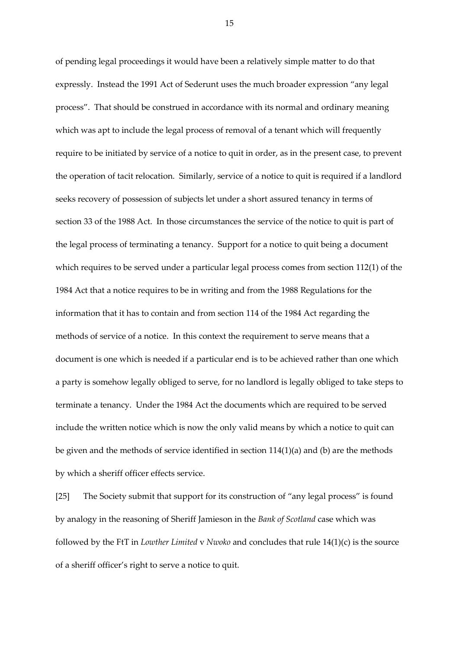of pending legal proceedings it would have been a relatively simple matter to do that expressly. Instead the 1991 Act of Sederunt uses the much broader expression "any legal process". That should be construed in accordance with its normal and ordinary meaning which was apt to include the legal process of removal of a tenant which will frequently require to be initiated by service of a notice to quit in order, as in the present case, to prevent the operation of tacit relocation. Similarly, service of a notice to quit is required if a landlord seeks recovery of possession of subjects let under a short assured tenancy in terms of section 33 of the 1988 Act. In those circumstances the service of the notice to quit is part of the legal process of terminating a tenancy. Support for a notice to quit being a document which requires to be served under a particular legal process comes from section 112(1) of the 1984 Act that a notice requires to be in writing and from the 1988 Regulations for the information that it has to contain and from section 114 of the 1984 Act regarding the methods of service of a notice. In this context the requirement to serve means that a document is one which is needed if a particular end is to be achieved rather than one which a party is somehow legally obliged to serve, for no landlord is legally obliged to take steps to terminate a tenancy. Under the 1984 Act the documents which are required to be served include the written notice which is now the only valid means by which a notice to quit can be given and the methods of service identified in section 114(1)(a) and (b) are the methods by which a sheriff officer effects service.

[25] The Society submit that support for its construction of "any legal process" is found by analogy in the reasoning of Sheriff Jamieson in the *Bank of Scotland* case which was followed by the FtT in *Lowther Limited* v *Nwoko* and concludes that rule 14(1)(c) is the source of a sheriff officer's right to serve a notice to quit.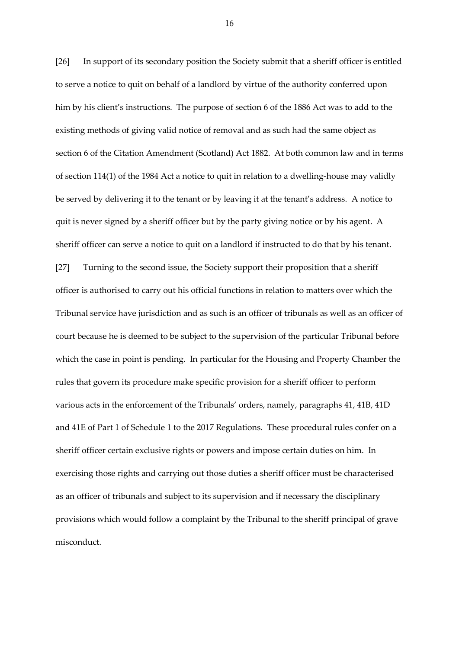[26] In support of its secondary position the Society submit that a sheriff officer is entitled to serve a notice to quit on behalf of a landlord by virtue of the authority conferred upon him by his client's instructions. The purpose of section 6 of the 1886 Act was to add to the existing methods of giving valid notice of removal and as such had the same object as section 6 of the Citation Amendment (Scotland) Act 1882. At both common law and in terms of section 114(1) of the 1984 Act a notice to quit in relation to a dwelling-house may validly be served by delivering it to the tenant or by leaving it at the tenant's address. A notice to quit is never signed by a sheriff officer but by the party giving notice or by his agent. A sheriff officer can serve a notice to quit on a landlord if instructed to do that by his tenant. [27] Turning to the second issue, the Society support their proposition that a sheriff officer is authorised to carry out his official functions in relation to matters over which the Tribunal service have jurisdiction and as such is an officer of tribunals as well as an officer of court because he is deemed to be subject to the supervision of the particular Tribunal before which the case in point is pending. In particular for the Housing and Property Chamber the rules that govern its procedure make specific provision for a sheriff officer to perform various acts in the enforcement of the Tribunals' orders, namely, paragraphs 41, 41B, 41D and 41E of Part 1 of Schedule 1 to the 2017 Regulations. These procedural rules confer on a sheriff officer certain exclusive rights or powers and impose certain duties on him. In exercising those rights and carrying out those duties a sheriff officer must be characterised as an officer of tribunals and subject to its supervision and if necessary the disciplinary provisions which would follow a complaint by the Tribunal to the sheriff principal of grave misconduct.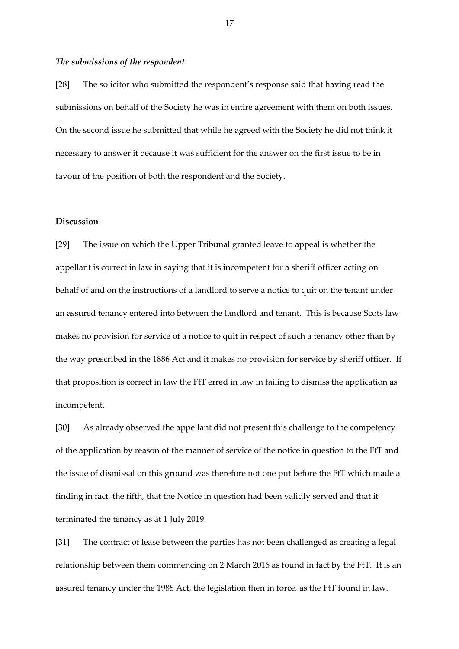#### *The submissions of the respondent*

[28] The solicitor who submitted the respondent's response said that having read the submissions on behalf of the Society he was in entire agreement with them on both issues. On the second issue he submitted that while he agreed with the Society he did not think it necessary to answer it because it was sufficient for the answer on the first issue to be in favour of the position of both the respondent and the Society.

## **Discussion**

[29] The issue on which the Upper Tribunal granted leave to appeal is whether the appellant is correct in law in saying that it is incompetent for a sheriff officer acting on behalf of and on the instructions of a landlord to serve a notice to quit on the tenant under an assured tenancy entered into between the landlord and tenant. This is because Scots law makes no provision for service of a notice to quit in respect of such a tenancy other than by the way prescribed in the 1886 Act and it makes no provision for service by sheriff officer. If that proposition is correct in law the FtT erred in law in failing to dismiss the application as incompetent.

[30] As already observed the appellant did not present this challenge to the competency of the application by reason of the manner of service of the notice in question to the FtT and the issue of dismissal on this ground was therefore not one put before the FtT which made a finding in fact, the fifth, that the Notice in question had been validly served and that it terminated the tenancy as at 1 July 2019.

[31] The contract of lease between the parties has not been challenged as creating a legal relationship between them commencing on 2 March 2016 as found in fact by the FtT. It is an assured tenancy under the 1988 Act, the legislation then in force, as the FtT found in law.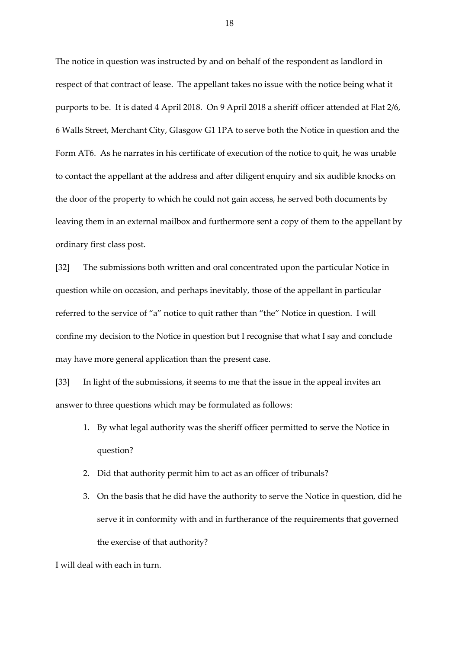The notice in question was instructed by and on behalf of the respondent as landlord in respect of that contract of lease. The appellant takes no issue with the notice being what it purports to be. It is dated 4 April 2018. On 9 April 2018 a sheriff officer attended at Flat 2/6, 6 Walls Street, Merchant City, Glasgow G1 1PA to serve both the Notice in question and the Form AT6. As he narrates in his certificate of execution of the notice to quit, he was unable to contact the appellant at the address and after diligent enquiry and six audible knocks on the door of the property to which he could not gain access, he served both documents by leaving them in an external mailbox and furthermore sent a copy of them to the appellant by ordinary first class post.

[32] The submissions both written and oral concentrated upon the particular Notice in question while on occasion, and perhaps inevitably, those of the appellant in particular referred to the service of "a" notice to quit rather than "the" Notice in question. I will confine my decision to the Notice in question but I recognise that what I say and conclude may have more general application than the present case.

[33] In light of the submissions, it seems to me that the issue in the appeal invites an answer to three questions which may be formulated as follows:

- 1. By what legal authority was the sheriff officer permitted to serve the Notice in question?
- 2. Did that authority permit him to act as an officer of tribunals?
- 3. On the basis that he did have the authority to serve the Notice in question, did he serve it in conformity with and in furtherance of the requirements that governed the exercise of that authority?

I will deal with each in turn.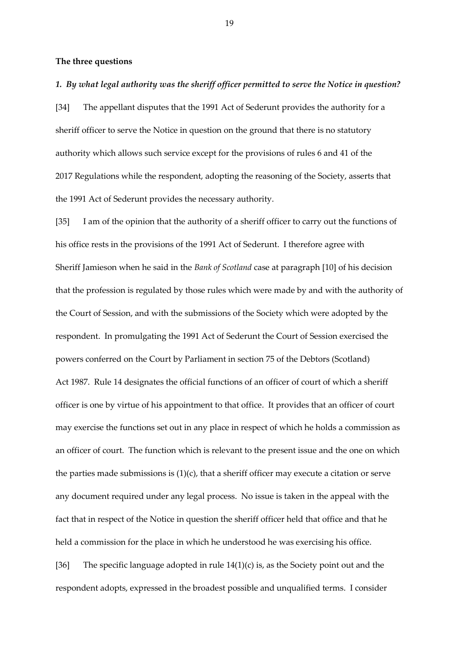## **The three questions**

### *1. By what legal authority was the sheriff officer permitted to serve the Notice in question?*

[34] The appellant disputes that the 1991 Act of Sederunt provides the authority for a sheriff officer to serve the Notice in question on the ground that there is no statutory authority which allows such service except for the provisions of rules 6 and 41 of the 2017 Regulations while the respondent, adopting the reasoning of the Society, asserts that the 1991 Act of Sederunt provides the necessary authority.

[35] I am of the opinion that the authority of a sheriff officer to carry out the functions of his office rests in the provisions of the 1991 Act of Sederunt. I therefore agree with Sheriff Jamieson when he said in the *Bank of Scotland* case at paragraph [10] of his decision that the profession is regulated by those rules which were made by and with the authority of the Court of Session, and with the submissions of the Society which were adopted by the respondent. In promulgating the 1991 Act of Sederunt the Court of Session exercised the powers conferred on the Court by Parliament in section 75 of the Debtors (Scotland) Act 1987. Rule 14 designates the official functions of an officer of court of which a sheriff officer is one by virtue of his appointment to that office. It provides that an officer of court may exercise the functions set out in any place in respect of which he holds a commission as an officer of court. The function which is relevant to the present issue and the one on which the parties made submissions is  $(1)(c)$ , that a sheriff officer may execute a citation or serve any document required under any legal process. No issue is taken in the appeal with the fact that in respect of the Notice in question the sheriff officer held that office and that he held a commission for the place in which he understood he was exercising his office. [36] The specific language adopted in rule  $14(1)(c)$  is, as the Society point out and the

respondent adopts, expressed in the broadest possible and unqualified terms. I consider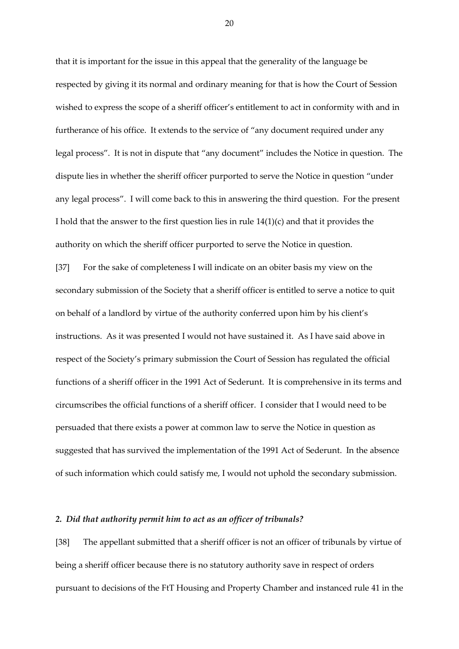that it is important for the issue in this appeal that the generality of the language be respected by giving it its normal and ordinary meaning for that is how the Court of Session wished to express the scope of a sheriff officer's entitlement to act in conformity with and in furtherance of his office. It extends to the service of "any document required under any legal process". It is not in dispute that "any document" includes the Notice in question. The dispute lies in whether the sheriff officer purported to serve the Notice in question "under any legal process". I will come back to this in answering the third question. For the present I hold that the answer to the first question lies in rule  $14(1)(c)$  and that it provides the authority on which the sheriff officer purported to serve the Notice in question.

[37] For the sake of completeness I will indicate on an obiter basis my view on the secondary submission of the Society that a sheriff officer is entitled to serve a notice to quit on behalf of a landlord by virtue of the authority conferred upon him by his client's instructions. As it was presented I would not have sustained it. As I have said above in respect of the Society's primary submission the Court of Session has regulated the official functions of a sheriff officer in the 1991 Act of Sederunt. It is comprehensive in its terms and circumscribes the official functions of a sheriff officer. I consider that I would need to be persuaded that there exists a power at common law to serve the Notice in question as suggested that has survived the implementation of the 1991 Act of Sederunt. In the absence of such information which could satisfy me, I would not uphold the secondary submission.

#### *2. Did that authority permit him to act as an officer of tribunals?*

[38] The appellant submitted that a sheriff officer is not an officer of tribunals by virtue of being a sheriff officer because there is no statutory authority save in respect of orders pursuant to decisions of the FtT Housing and Property Chamber and instanced rule 41 in the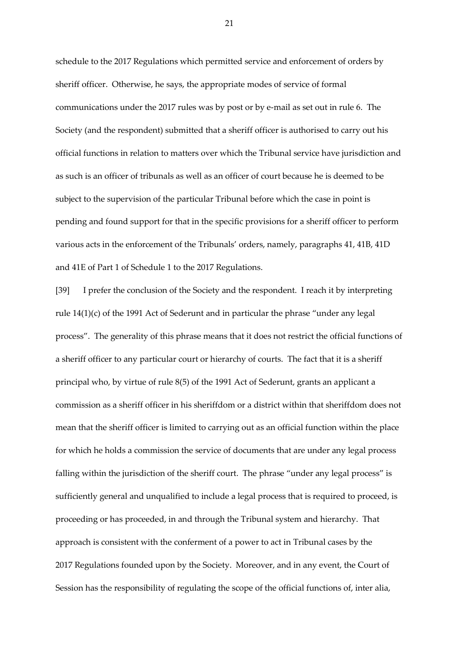schedule to the 2017 Regulations which permitted service and enforcement of orders by sheriff officer. Otherwise, he says, the appropriate modes of service of formal communications under the 2017 rules was by post or by e-mail as set out in rule 6. The Society (and the respondent) submitted that a sheriff officer is authorised to carry out his official functions in relation to matters over which the Tribunal service have jurisdiction and as such is an officer of tribunals as well as an officer of court because he is deemed to be subject to the supervision of the particular Tribunal before which the case in point is pending and found support for that in the specific provisions for a sheriff officer to perform various acts in the enforcement of the Tribunals' orders, namely, paragraphs 41, 41B, 41D and 41E of Part 1 of Schedule 1 to the 2017 Regulations.

[39] I prefer the conclusion of the Society and the respondent. I reach it by interpreting rule 14(1)(c) of the 1991 Act of Sederunt and in particular the phrase "under any legal process". The generality of this phrase means that it does not restrict the official functions of a sheriff officer to any particular court or hierarchy of courts. The fact that it is a sheriff principal who, by virtue of rule 8(5) of the 1991 Act of Sederunt, grants an applicant a commission as a sheriff officer in his sheriffdom or a district within that sheriffdom does not mean that the sheriff officer is limited to carrying out as an official function within the place for which he holds a commission the service of documents that are under any legal process falling within the jurisdiction of the sheriff court. The phrase "under any legal process" is sufficiently general and unqualified to include a legal process that is required to proceed, is proceeding or has proceeded, in and through the Tribunal system and hierarchy. That approach is consistent with the conferment of a power to act in Tribunal cases by the 2017 Regulations founded upon by the Society. Moreover, and in any event, the Court of Session has the responsibility of regulating the scope of the official functions of, inter alia,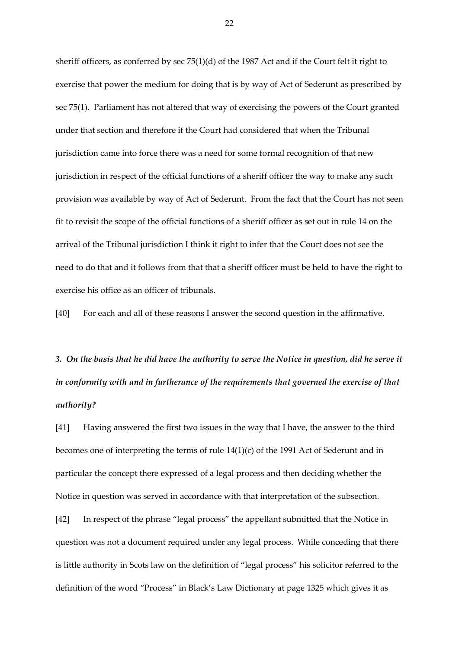sheriff officers, as conferred by sec 75(1)(d) of the 1987 Act and if the Court felt it right to exercise that power the medium for doing that is by way of Act of Sederunt as prescribed by sec 75(1). Parliament has not altered that way of exercising the powers of the Court granted under that section and therefore if the Court had considered that when the Tribunal jurisdiction came into force there was a need for some formal recognition of that new jurisdiction in respect of the official functions of a sheriff officer the way to make any such provision was available by way of Act of Sederunt. From the fact that the Court has not seen fit to revisit the scope of the official functions of a sheriff officer as set out in rule 14 on the arrival of the Tribunal jurisdiction I think it right to infer that the Court does not see the need to do that and it follows from that that a sheriff officer must be held to have the right to exercise his office as an officer of tribunals.

[40] For each and all of these reasons I answer the second question in the affirmative.

*3. On the basis that he did have the authority to serve the Notice in question, did he serve it in conformity with and in furtherance of the requirements that governed the exercise of that authority?*

[41] Having answered the first two issues in the way that I have, the answer to the third becomes one of interpreting the terms of rule 14(1)(c) of the 1991 Act of Sederunt and in particular the concept there expressed of a legal process and then deciding whether the Notice in question was served in accordance with that interpretation of the subsection.

[42] In respect of the phrase "legal process" the appellant submitted that the Notice in question was not a document required under any legal process. While conceding that there is little authority in Scots law on the definition of "legal process" his solicitor referred to the definition of the word "Process" in Black's Law Dictionary at page 1325 which gives it as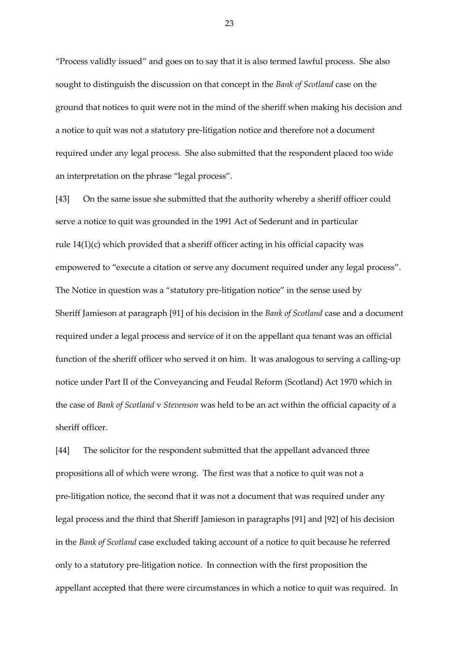"Process validly issued" and goes on to say that it is also termed lawful process. She also sought to distinguish the discussion on that concept in the *Bank of Scotland* case on the ground that notices to quit were not in the mind of the sheriff when making his decision and a notice to quit was not a statutory pre-litigation notice and therefore not a document required under any legal process. She also submitted that the respondent placed too wide an interpretation on the phrase "legal process".

[43] On the same issue she submitted that the authority whereby a sheriff officer could serve a notice to quit was grounded in the 1991 Act of Sederunt and in particular rule 14(1)(c) which provided that a sheriff officer acting in his official capacity was empowered to "execute a citation or serve any document required under any legal process". The Notice in question was a "statutory pre-litigation notice" in the sense used by Sheriff Jamieson at paragraph [91] of his decision in the *Bank of Scotland* case and a document required under a legal process and service of it on the appellant qua tenant was an official function of the sheriff officer who served it on him. It was analogous to serving a calling-up notice under Part II of the Conveyancing and Feudal Reform (Scotland) Act 1970 which in the case of *Bank of Scotland* v *Stevenson* was held to be an act within the official capacity of a sheriff officer.

[44] The solicitor for the respondent submitted that the appellant advanced three propositions all of which were wrong. The first was that a notice to quit was not a pre-litigation notice, the second that it was not a document that was required under any legal process and the third that Sheriff Jamieson in paragraphs [91] and [92] of his decision in the *Bank of Scotland* case excluded taking account of a notice to quit because he referred only to a statutory pre-litigation notice. In connection with the first proposition the appellant accepted that there were circumstances in which a notice to quit was required. In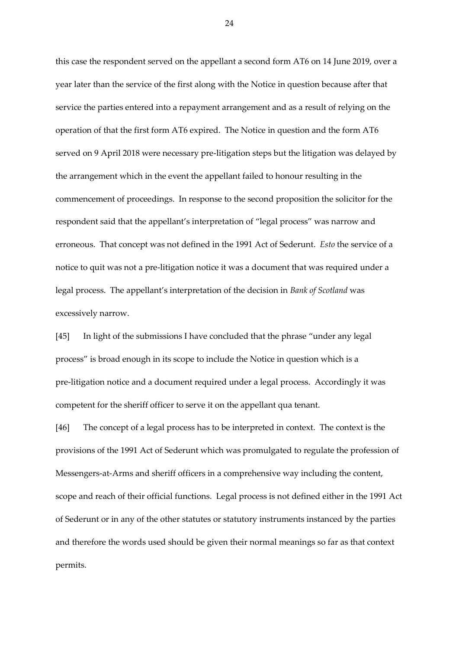this case the respondent served on the appellant a second form AT6 on 14 June 2019, over a year later than the service of the first along with the Notice in question because after that service the parties entered into a repayment arrangement and as a result of relying on the operation of that the first form AT6 expired. The Notice in question and the form AT6 served on 9 April 2018 were necessary pre-litigation steps but the litigation was delayed by the arrangement which in the event the appellant failed to honour resulting in the commencement of proceedings. In response to the second proposition the solicitor for the respondent said that the appellant's interpretation of "legal process" was narrow and erroneous. That concept was not defined in the 1991 Act of Sederunt. *Esto* the service of a notice to quit was not a pre-litigation notice it was a document that was required under a legal process. The appellant's interpretation of the decision in *Bank of Scotland* was excessively narrow.

[45] In light of the submissions I have concluded that the phrase "under any legal process" is broad enough in its scope to include the Notice in question which is a pre-litigation notice and a document required under a legal process. Accordingly it was competent for the sheriff officer to serve it on the appellant qua tenant.

[46] The concept of a legal process has to be interpreted in context. The context is the provisions of the 1991 Act of Sederunt which was promulgated to regulate the profession of Messengers-at-Arms and sheriff officers in a comprehensive way including the content, scope and reach of their official functions. Legal process is not defined either in the 1991 Act of Sederunt or in any of the other statutes or statutory instruments instanced by the parties and therefore the words used should be given their normal meanings so far as that context permits.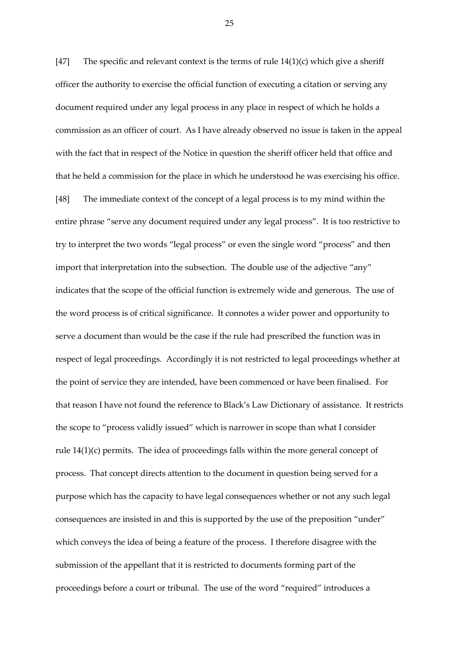[47] The specific and relevant context is the terms of rule  $14(1)(c)$  which give a sheriff officer the authority to exercise the official function of executing a citation or serving any document required under any legal process in any place in respect of which he holds a commission as an officer of court. As I have already observed no issue is taken in the appeal with the fact that in respect of the Notice in question the sheriff officer held that office and that he held a commission for the place in which he understood he was exercising his office. [48] The immediate context of the concept of a legal process is to my mind within the entire phrase "serve any document required under any legal process". It is too restrictive to try to interpret the two words "legal process" or even the single word "process" and then import that interpretation into the subsection. The double use of the adjective "any" indicates that the scope of the official function is extremely wide and generous. The use of the word process is of critical significance. It connotes a wider power and opportunity to serve a document than would be the case if the rule had prescribed the function was in respect of legal proceedings. Accordingly it is not restricted to legal proceedings whether at the point of service they are intended, have been commenced or have been finalised. For that reason I have not found the reference to Black's Law Dictionary of assistance. It restricts the scope to "process validly issued" which is narrower in scope than what I consider rule 14(1)(c) permits. The idea of proceedings falls within the more general concept of process. That concept directs attention to the document in question being served for a purpose which has the capacity to have legal consequences whether or not any such legal consequences are insisted in and this is supported by the use of the preposition "under" which conveys the idea of being a feature of the process. I therefore disagree with the submission of the appellant that it is restricted to documents forming part of the proceedings before a court or tribunal. The use of the word "required" introduces a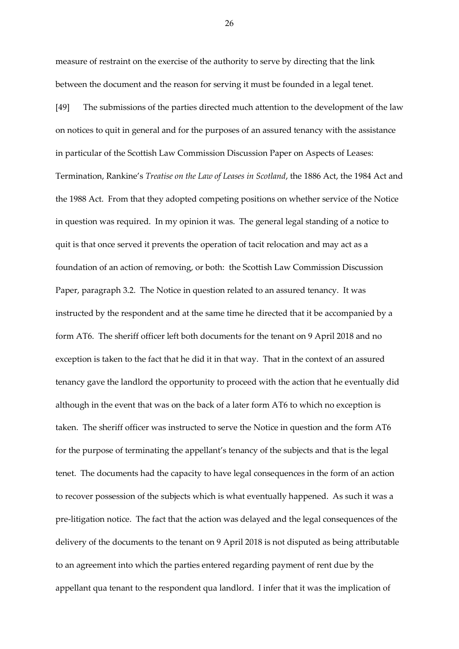measure of restraint on the exercise of the authority to serve by directing that the link between the document and the reason for serving it must be founded in a legal tenet.

[49] The submissions of the parties directed much attention to the development of the law on notices to quit in general and for the purposes of an assured tenancy with the assistance in particular of the Scottish Law Commission Discussion Paper on Aspects of Leases: Termination, Rankine's *Treatise on the Law of Leases in Scotland*, the 1886 Act, the 1984 Act and the 1988 Act. From that they adopted competing positions on whether service of the Notice in question was required. In my opinion it was. The general legal standing of a notice to quit is that once served it prevents the operation of tacit relocation and may act as a foundation of an action of removing, or both: the Scottish Law Commission Discussion Paper, paragraph 3.2. The Notice in question related to an assured tenancy. It was instructed by the respondent and at the same time he directed that it be accompanied by a form AT6. The sheriff officer left both documents for the tenant on 9 April 2018 and no exception is taken to the fact that he did it in that way. That in the context of an assured tenancy gave the landlord the opportunity to proceed with the action that he eventually did although in the event that was on the back of a later form AT6 to which no exception is taken. The sheriff officer was instructed to serve the Notice in question and the form AT6 for the purpose of terminating the appellant's tenancy of the subjects and that is the legal tenet. The documents had the capacity to have legal consequences in the form of an action to recover possession of the subjects which is what eventually happened. As such it was a pre-litigation notice. The fact that the action was delayed and the legal consequences of the delivery of the documents to the tenant on 9 April 2018 is not disputed as being attributable to an agreement into which the parties entered regarding payment of rent due by the appellant qua tenant to the respondent qua landlord. I infer that it was the implication of